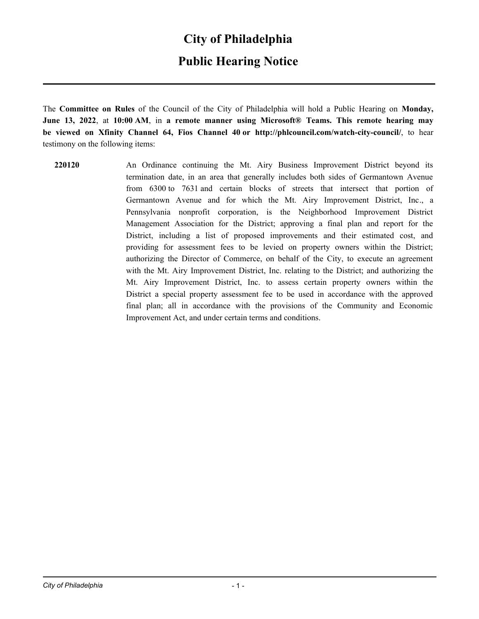### **City of Philadelphia**

### **Public Hearing Notice**

The **Committee on Rules** of the Council of the City of Philadelphia will hold a Public Hearing on **Monday, June 13, 2022**, at **10:00 AM**, in **a remote manner using Microsoft® Teams. This remote hearing may be viewed on Xfinity Channel 64, Fios Channel 40 or http://phlcouncil.com/watch-city-council/**, to hear testimony on the following items:

**220120** An Ordinance continuing the Mt. Airy Business Improvement District beyond its termination date, in an area that generally includes both sides of Germantown Avenue from 6300 to 7631 and certain blocks of streets that intersect that portion of Germantown Avenue and for which the Mt. Airy Improvement District, Inc., a Pennsylvania nonprofit corporation, is the Neighborhood Improvement District Management Association for the District; approving a final plan and report for the District, including a list of proposed improvements and their estimated cost, and providing for assessment fees to be levied on property owners within the District; authorizing the Director of Commerce, on behalf of the City, to execute an agreement with the Mt. Airy Improvement District, Inc. relating to the District; and authorizing the Mt. Airy Improvement District, Inc. to assess certain property owners within the District a special property assessment fee to be used in accordance with the approved final plan; all in accordance with the provisions of the Community and Economic Improvement Act, and under certain terms and conditions.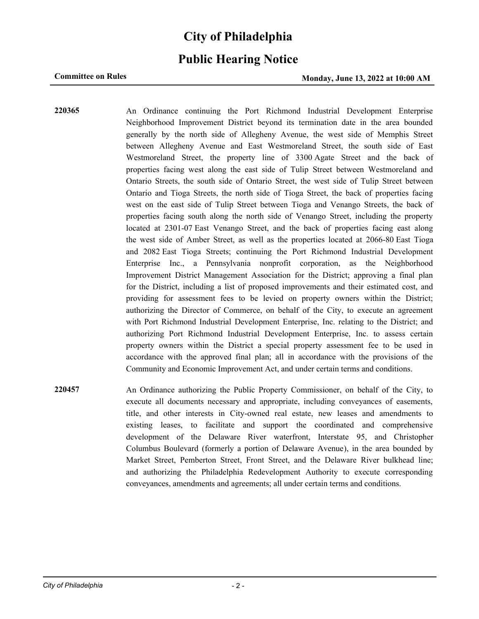# **City of Philadelphia**

### **Public Hearing Notice**

### **Committee on Rules Committee on Rules Monday, June 13, 2022 at 10:00 AM**

**220365** An Ordinance continuing the Port Richmond Industrial Development Enterprise Neighborhood Improvement District beyond its termination date in the area bounded generally by the north side of Allegheny Avenue, the west side of Memphis Street between Allegheny Avenue and East Westmoreland Street, the south side of East Westmoreland Street, the property line of 3300 Agate Street and the back of properties facing west along the east side of Tulip Street between Westmoreland and Ontario Streets, the south side of Ontario Street, the west side of Tulip Street between Ontario and Tioga Streets, the north side of Tioga Street, the back of properties facing west on the east side of Tulip Street between Tioga and Venango Streets, the back of properties facing south along the north side of Venango Street, including the property located at 2301-07 East Venango Street, and the back of properties facing east along the west side of Amber Street, as well as the properties located at 2066-80 East Tioga and 2082 East Tioga Streets; continuing the Port Richmond Industrial Development Enterprise Inc., a Pennsylvania nonprofit corporation, as the Neighborhood Improvement District Management Association for the District; approving a final plan for the District, including a list of proposed improvements and their estimated cost, and providing for assessment fees to be levied on property owners within the District; authorizing the Director of Commerce, on behalf of the City, to execute an agreement with Port Richmond Industrial Development Enterprise, Inc. relating to the District; and authorizing Port Richmond Industrial Development Enterprise, Inc. to assess certain property owners within the District a special property assessment fee to be used in accordance with the approved final plan; all in accordance with the provisions of the Community and Economic Improvement Act, and under certain terms and conditions.

**220457** An Ordinance authorizing the Public Property Commissioner, on behalf of the City, to execute all documents necessary and appropriate, including conveyances of easements, title, and other interests in City-owned real estate, new leases and amendments to existing leases, to facilitate and support the coordinated and comprehensive development of the Delaware River waterfront, Interstate 95, and Christopher Columbus Boulevard (formerly a portion of Delaware Avenue), in the area bounded by Market Street, Pemberton Street, Front Street, and the Delaware River bulkhead line; and authorizing the Philadelphia Redevelopment Authority to execute corresponding conveyances, amendments and agreements; all under certain terms and conditions.